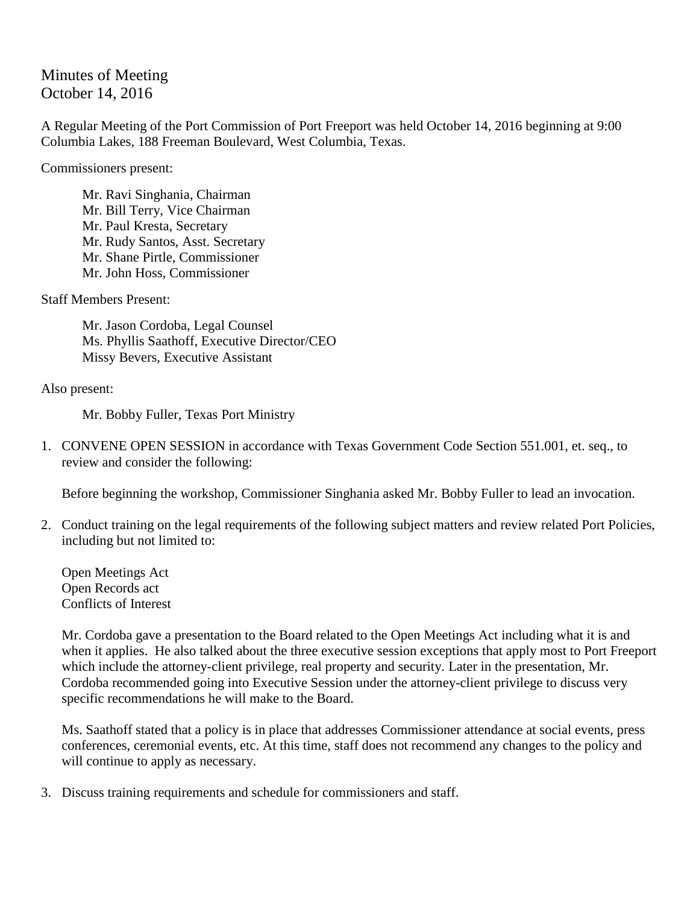## Minutes of Meeting October 14, 2016

A Regular Meeting of the Port Commission of Port Freeport was held October 14, 2016 beginning at 9:00 Columbia Lakes, 188 Freeman Boulevard, West Columbia, Texas.

Commissioners present:

Mr. Ravi Singhania, Chairman Mr. Bill Terry, Vice Chairman Mr. Paul Kresta, Secretary Mr. Rudy Santos, Asst. Secretary Mr. Shane Pirtle, Commissioner Mr. John Hoss, Commissioner

Staff Members Present:

Mr. Jason Cordoba, Legal Counsel Ms. Phyllis Saathoff, Executive Director/CEO Missy Bevers, Executive Assistant

Also present:

Mr. Bobby Fuller, Texas Port Ministry

1. CONVENE OPEN SESSION in accordance with Texas Government Code Section 551.001, et. seq., to review and consider the following:

Before beginning the workshop, Commissioner Singhania asked Mr. Bobby Fuller to lead an invocation.

2. Conduct training on the legal requirements of the following subject matters and review related Port Policies, including but not limited to:

Open Meetings Act Open Records act Conflicts of Interest

Mr. Cordoba gave a presentation to the Board related to the Open Meetings Act including what it is and when it applies. He also talked about the three executive session exceptions that apply most to Port Freeport which include the attorney-client privilege, real property and security. Later in the presentation, Mr. Cordoba recommended going into Executive Session under the attorney-client privilege to discuss very specific recommendations he will make to the Board.

Ms. Saathoff stated that a policy is in place that addresses Commissioner attendance at social events, press conferences, ceremonial events, etc. At this time, staff does not recommend any changes to the policy and will continue to apply as necessary.

3. Discuss training requirements and schedule for commissioners and staff.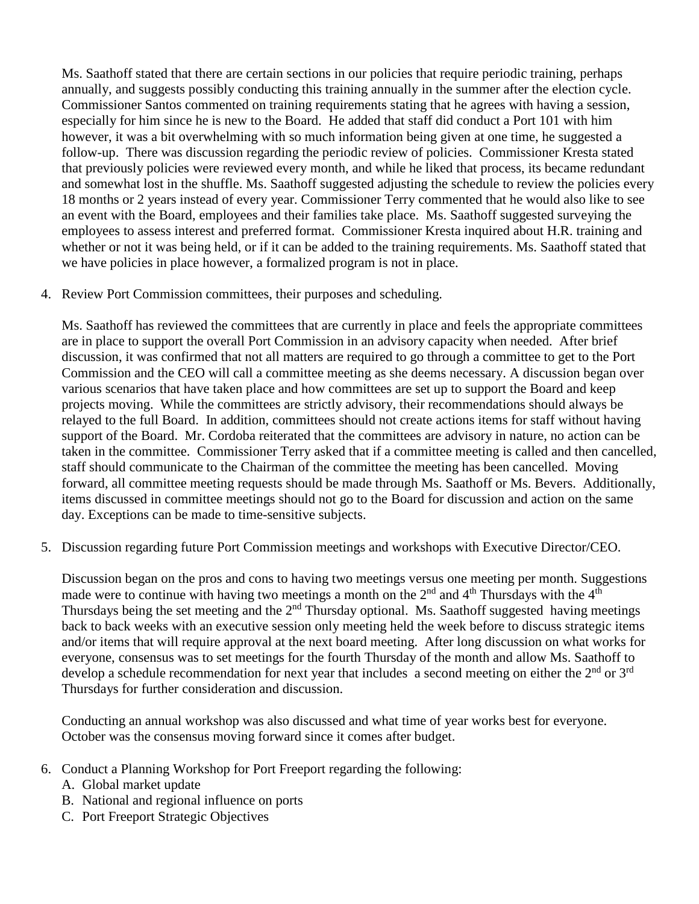Ms. Saathoff stated that there are certain sections in our policies that require periodic training, perhaps annually, and suggests possibly conducting this training annually in the summer after the election cycle. Commissioner Santos commented on training requirements stating that he agrees with having a session, especially for him since he is new to the Board. He added that staff did conduct a Port 101 with him however, it was a bit overwhelming with so much information being given at one time, he suggested a follow-up. There was discussion regarding the periodic review of policies. Commissioner Kresta stated that previously policies were reviewed every month, and while he liked that process, its became redundant and somewhat lost in the shuffle. Ms. Saathoff suggested adjusting the schedule to review the policies every 18 months or 2 years instead of every year. Commissioner Terry commented that he would also like to see an event with the Board, employees and their families take place. Ms. Saathoff suggested surveying the employees to assess interest and preferred format. Commissioner Kresta inquired about H.R. training and whether or not it was being held, or if it can be added to the training requirements. Ms. Saathoff stated that we have policies in place however, a formalized program is not in place.

4. Review Port Commission committees, their purposes and scheduling.

Ms. Saathoff has reviewed the committees that are currently in place and feels the appropriate committees are in place to support the overall Port Commission in an advisory capacity when needed. After brief discussion, it was confirmed that not all matters are required to go through a committee to get to the Port Commission and the CEO will call a committee meeting as she deems necessary. A discussion began over various scenarios that have taken place and how committees are set up to support the Board and keep projects moving. While the committees are strictly advisory, their recommendations should always be relayed to the full Board. In addition, committees should not create actions items for staff without having support of the Board. Mr. Cordoba reiterated that the committees are advisory in nature, no action can be taken in the committee. Commissioner Terry asked that if a committee meeting is called and then cancelled, staff should communicate to the Chairman of the committee the meeting has been cancelled. Moving forward, all committee meeting requests should be made through Ms. Saathoff or Ms. Bevers. Additionally, items discussed in committee meetings should not go to the Board for discussion and action on the same day. Exceptions can be made to time-sensitive subjects.

5. Discussion regarding future Port Commission meetings and workshops with Executive Director/CEO.

Discussion began on the pros and cons to having two meetings versus one meeting per month. Suggestions made were to continue with having two meetings a month on the  $2<sup>nd</sup>$  and  $4<sup>th</sup>$  Thursdays with the  $4<sup>th</sup>$ Thursdays being the set meeting and the  $2<sup>nd</sup>$  Thursday optional. Ms. Saathoff suggested having meetings back to back weeks with an executive session only meeting held the week before to discuss strategic items and/or items that will require approval at the next board meeting. After long discussion on what works for everyone, consensus was to set meetings for the fourth Thursday of the month and allow Ms. Saathoff to develop a schedule recommendation for next year that includes a second meeting on either the  $2<sup>nd</sup>$  or  $3<sup>rd</sup>$ Thursdays for further consideration and discussion.

Conducting an annual workshop was also discussed and what time of year works best for everyone. October was the consensus moving forward since it comes after budget.

- 6. Conduct a Planning Workshop for Port Freeport regarding the following:
	- A. Global market update
	- B. National and regional influence on ports
	- C. Port Freeport Strategic Objectives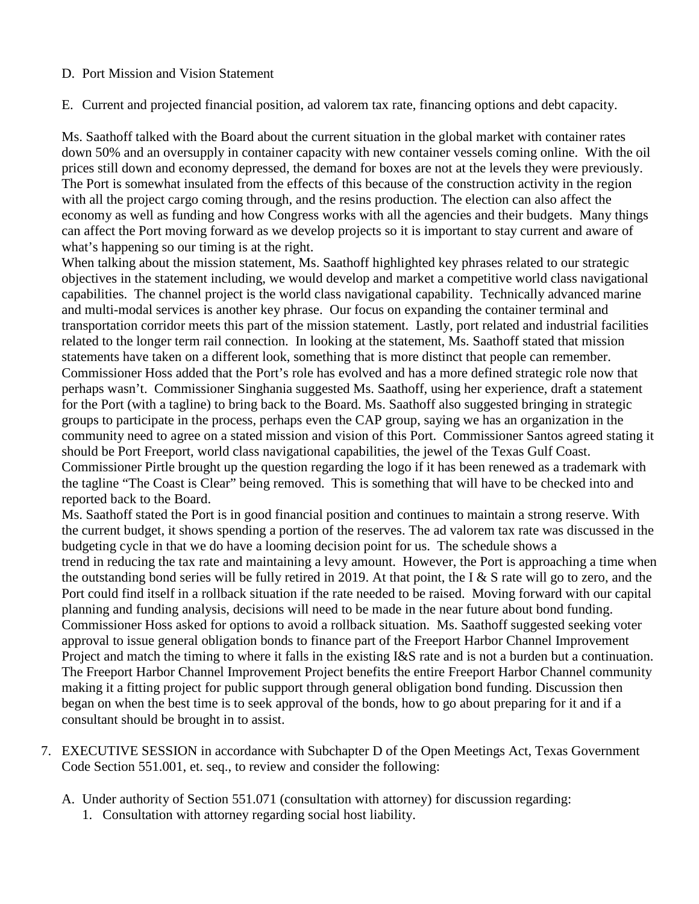## D. Port Mission and Vision Statement

E. Current and projected financial position, ad valorem tax rate, financing options and debt capacity.

Ms. Saathoff talked with the Board about the current situation in the global market with container rates down 50% and an oversupply in container capacity with new container vessels coming online. With the oil prices still down and economy depressed, the demand for boxes are not at the levels they were previously. The Port is somewhat insulated from the effects of this because of the construction activity in the region with all the project cargo coming through, and the resins production. The election can also affect the economy as well as funding and how Congress works with all the agencies and their budgets. Many things can affect the Port moving forward as we develop projects so it is important to stay current and aware of what's happening so our timing is at the right.

When talking about the mission statement, Ms. Saathoff highlighted key phrases related to our strategic objectives in the statement including, we would develop and market a competitive world class navigational capabilities. The channel project is the world class navigational capability. Technically advanced marine and multi-modal services is another key phrase. Our focus on expanding the container terminal and transportation corridor meets this part of the mission statement. Lastly, port related and industrial facilities related to the longer term rail connection. In looking at the statement, Ms. Saathoff stated that mission statements have taken on a different look, something that is more distinct that people can remember. Commissioner Hoss added that the Port's role has evolved and has a more defined strategic role now that perhaps wasn't. Commissioner Singhania suggested Ms. Saathoff, using her experience, draft a statement for the Port (with a tagline) to bring back to the Board. Ms. Saathoff also suggested bringing in strategic groups to participate in the process, perhaps even the CAP group, saying we has an organization in the community need to agree on a stated mission and vision of this Port. Commissioner Santos agreed stating it should be Port Freeport, world class navigational capabilities, the jewel of the Texas Gulf Coast. Commissioner Pirtle brought up the question regarding the logo if it has been renewed as a trademark with the tagline "The Coast is Clear" being removed. This is something that will have to be checked into and reported back to the Board.

Ms. Saathoff stated the Port is in good financial position and continues to maintain a strong reserve. With the current budget, it shows spending a portion of the reserves. The ad valorem tax rate was discussed in the budgeting cycle in that we do have a looming decision point for us. The schedule shows a trend in reducing the tax rate and maintaining a levy amount. However, the Port is approaching a time when the outstanding bond series will be fully retired in 2019. At that point, the I & S rate will go to zero, and the Port could find itself in a rollback situation if the rate needed to be raised. Moving forward with our capital planning and funding analysis, decisions will need to be made in the near future about bond funding. Commissioner Hoss asked for options to avoid a rollback situation. Ms. Saathoff suggested seeking voter approval to issue general obligation bonds to finance part of the Freeport Harbor Channel Improvement Project and match the timing to where it falls in the existing I&S rate and is not a burden but a continuation. The Freeport Harbor Channel Improvement Project benefits the entire Freeport Harbor Channel community making it a fitting project for public support through general obligation bond funding. Discussion then began on when the best time is to seek approval of the bonds, how to go about preparing for it and if a consultant should be brought in to assist.

- 7. EXECUTIVE SESSION in accordance with Subchapter D of the Open Meetings Act, Texas Government Code Section 551.001, et. seq., to review and consider the following:
	- A. Under authority of Section 551.071 (consultation with attorney) for discussion regarding:
		- 1. Consultation with attorney regarding social host liability.